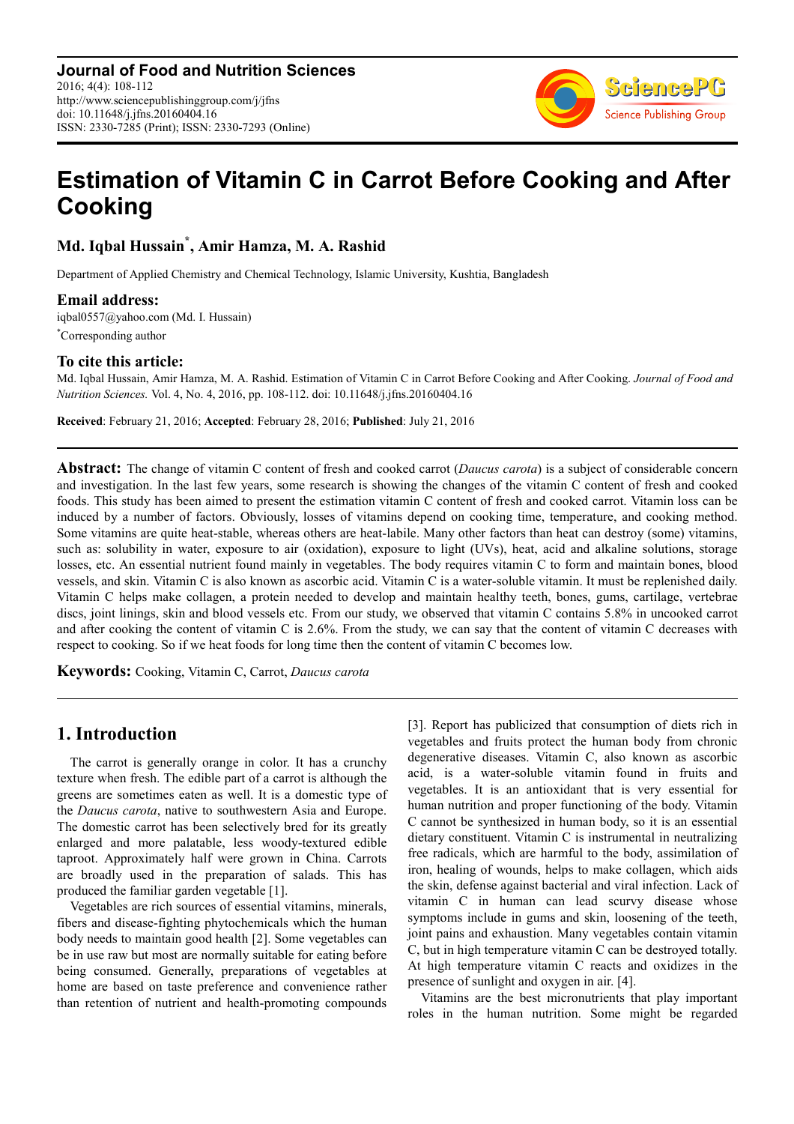

# **Estimation of Vitamin C in Carrot Before Cooking and After Cooking**

**Md. Iqbal Hussain\* , Amir Hamza, M. A. Rashid** 

Department of Applied Chemistry and Chemical Technology, Islamic University, Kushtia, Bangladesh

#### **Email address:**

iqbal0557@yahoo.com (Md. I. Hussain) \*Corresponding author

#### **To cite this article:**

Md. Iqbal Hussain, Amir Hamza, M. A. Rashid. Estimation of Vitamin C in Carrot Before Cooking and After Cooking. *Journal of Food and Nutrition Sciences.* Vol. 4, No. 4, 2016, pp. 108-112. doi: 10.11648/j.jfns.20160404.16

**Received**: February 21, 2016; **Accepted**: February 28, 2016; **Published**: July 21, 2016

**Abstract:** The change of vitamin C content of fresh and cooked carrot (*Daucus carota*) is a subject of considerable concern and investigation. In the last few years, some research is showing the changes of the vitamin C content of fresh and cooked foods. This study has been aimed to present the estimation vitamin C content of fresh and cooked carrot. Vitamin loss can be induced by a number of factors. Obviously, losses of vitamins depend on cooking time, temperature, and cooking method. Some vitamins are quite heat-stable, whereas others are heat-labile. Many other factors than heat can destroy (some) vitamins, such as: solubility in water, exposure to air (oxidation), exposure to light (UVs), heat, acid and alkaline solutions, storage losses, etc. An essential nutrient found mainly in vegetables. The body requires vitamin C to form and maintain bones, blood vessels, and skin. Vitamin C is also known as ascorbic acid. Vitamin C is a water-soluble vitamin. It must be replenished daily. Vitamin C helps make collagen, a protein needed to develop and maintain healthy teeth, bones, gums, cartilage, vertebrae discs, joint linings, skin and blood vessels etc. From our study, we observed that vitamin C contains 5.8% in uncooked carrot and after cooking the content of vitamin C is 2.6%. From the study, we can say that the content of vitamin C decreases with respect to cooking. So if we heat foods for long time then the content of vitamin C becomes low.

**Keywords:** Cooking, Vitamin C, Carrot, *Daucus carota*

# **1. Introduction**

The carrot is generally orange in color. It has a crunchy texture when fresh. The edible part of a carrot is although the greens are sometimes eaten as well. It is a domestic type of the *Daucus carota*, native to southwestern Asia and Europe. The domestic carrot has been selectively bred for its greatly enlarged and more palatable, less woody-textured edible taproot. Approximately half were grown in China. Carrots are broadly used in the preparation of salads. This has produced the familiar garden vegetable [1].

Vegetables are rich sources of essential vitamins, minerals, fibers and disease-fighting phytochemicals which the human body needs to maintain good health [2]. Some vegetables can be in use raw but most are normally suitable for eating before being consumed. Generally, preparations of vegetables at home are based on taste preference and convenience rather than retention of nutrient and health-promoting compounds [3]. Report has publicized that consumption of diets rich in vegetables and fruits protect the human body from chronic degenerative diseases. Vitamin C, also known as ascorbic acid, is a water-soluble vitamin found in fruits and vegetables. It is an antioxidant that is very essential for human nutrition and proper functioning of the body. Vitamin C cannot be synthesized in human body, so it is an essential dietary constituent. Vitamin C is instrumental in neutralizing free radicals, which are harmful to the body, assimilation of iron, healing of wounds, helps to make collagen, which aids the skin, defense against bacterial and viral infection. Lack of vitamin C in human can lead scurvy disease whose symptoms include in gums and skin, loosening of the teeth, joint pains and exhaustion. Many vegetables contain vitamin C, but in high temperature vitamin C can be destroyed totally. At high temperature vitamin C reacts and oxidizes in the presence of sunlight and oxygen in air. [4].

Vitamins are the best micronutrients that play important roles in the human nutrition. Some might be regarded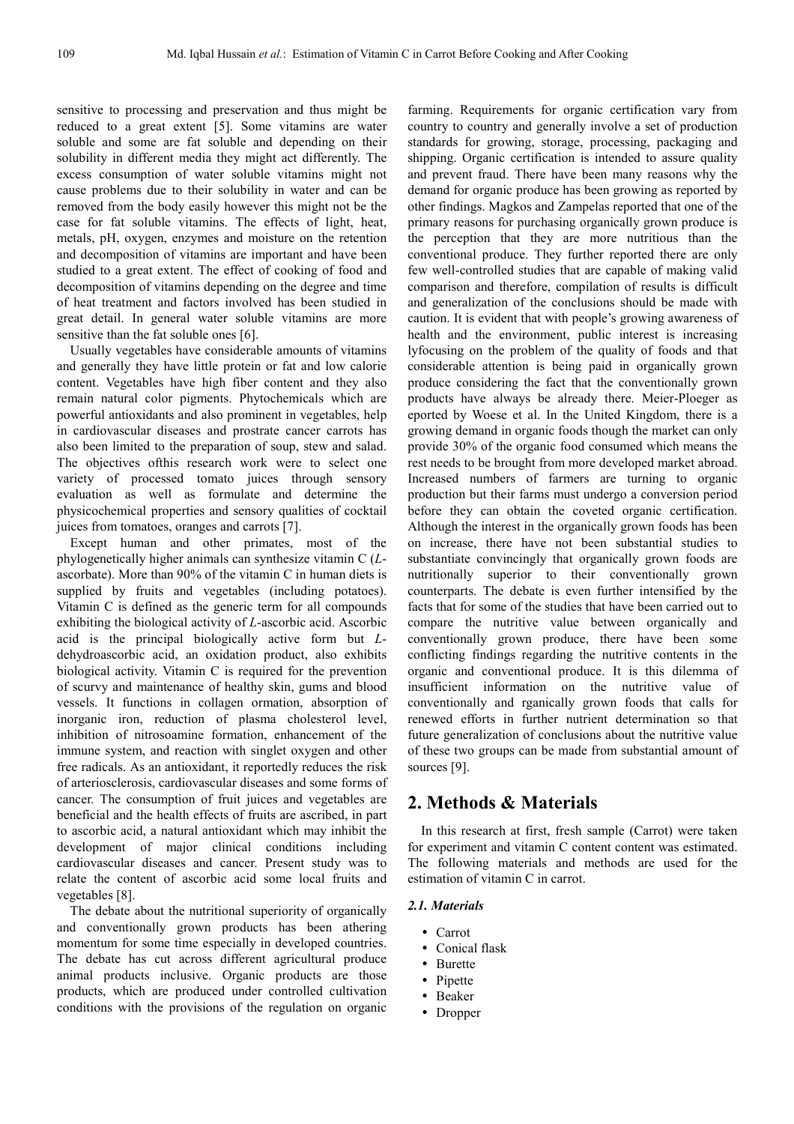sensitive to processing and preservation and thus might be reduced to a great extent [5]. Some vitamins are water soluble and some are fat soluble and depending on their solubility in different media they might act differently. The excess consumption of water soluble vitamins might not cause problems due to their solubility in water and can be removed from the body easily however this might not be the case for fat soluble vitamins. The effects of light, heat, metals, pH, oxygen, enzymes and moisture on the retention and decomposition of vitamins are important and have been studied to a great extent. The effect of cooking of food and decomposition of vitamins depending on the degree and time of heat treatment and factors involved has been studied in great detail. In general water soluble vitamins are more sensitive than the fat soluble ones [6].

Usually vegetables have considerable amounts of vitamins and generally they have little protein or fat and low calorie content. Vegetables have high fiber content and they also remain natural color pigments. Phytochemicals which are powerful antioxidants and also prominent in vegetables, help in cardiovascular diseases and prostrate cancer carrots has also been limited to the preparation of soup, stew and salad. The objectives ofthis research work were to select one variety of processed tomato juices through sensory evaluation as well as formulate and determine the physicochemical properties and sensory qualities of cocktail juices from tomatoes, oranges and carrots [7].

Except human and other primates, most of the phylogenetically higher animals can synthesize vitamin C (*L*ascorbate). More than 90% of the vitamin C in human diets is supplied by fruits and vegetables (including potatoes). Vitamin C is defined as the generic term for all compounds exhibiting the biological activity of *L*-ascorbic acid. Ascorbic acid is the principal biologically active form but *L*dehydroascorbic acid, an oxidation product, also exhibits biological activity. Vitamin C is required for the prevention of scurvy and maintenance of healthy skin, gums and blood vessels. It functions in collagen ormation, absorption of inorganic iron, reduction of plasma cholesterol level, inhibition of nitrosoamine formation, enhancement of the immune system, and reaction with singlet oxygen and other free radicals. As an antioxidant, it reportedly reduces the risk of arteriosclerosis, cardiovascular diseases and some forms of cancer. The consumption of fruit juices and vegetables are beneficial and the health effects of fruits are ascribed, in part to ascorbic acid, a natural antioxidant which may inhibit the development of major clinical conditions including cardiovascular diseases and cancer. Present study was to relate the content of ascorbic acid some local fruits and vegetables [8].

The debate about the nutritional superiority of organically and conventionally grown products has been athering momentum for some time especially in developed countries. The debate has cut across different agricultural produce animal products inclusive. Organic products are those products, which are produced under controlled cultivation conditions with the provisions of the regulation on organic farming. Requirements for organic certification vary from country to country and generally involve a set of production standards for growing, storage, processing, packaging and shipping. Organic certification is intended to assure quality and prevent fraud. There have been many reasons why the demand for organic produce has been growing as reported by other findings. Magkos and Zampelas reported that one of the primary reasons for purchasing organically grown produce is the perception that they are more nutritious than the conventional produce. They further reported there are only few well-controlled studies that are capable of making valid comparison and therefore, compilation of results is difficult and generalization of the conclusions should be made with caution. It is evident that with people's growing awareness of health and the environment, public interest is increasing lyfocusing on the problem of the quality of foods and that considerable attention is being paid in organically grown produce considering the fact that the conventionally grown products have always be already there. Meier-Ploeger as eported by Woese et al. In the United Kingdom, there is a growing demand in organic foods though the market can only provide 30% of the organic food consumed which means the rest needs to be brought from more developed market abroad. Increased numbers of farmers are turning to organic production but their farms must undergo a conversion period before they can obtain the coveted organic certification. Although the interest in the organically grown foods has been on increase, there have not been substantial studies to substantiate convincingly that organically grown foods are nutritionally superior to their conventionally grown counterparts. The debate is even further intensified by the facts that for some of the studies that have been carried out to compare the nutritive value between organically and conventionally grown produce, there have been some conflicting findings regarding the nutritive contents in the organic and conventional produce. It is this dilemma of insufficient information on the nutritive value of conventionally and rganically grown foods that calls for renewed efforts in further nutrient determination so that future generalization of conclusions about the nutritive value of these two groups can be made from substantial amount of sources [9].

## **2. Methods & Materials**

In this research at first, fresh sample (Carrot) were taken for experiment and vitamin C content content was estimated. The following materials and methods are used for the estimation of vitamin C in carrot.

# *2.1. Materials*

- Carrot
- Conical flask
- Burette
- Pipette
- Beaker
- Dropper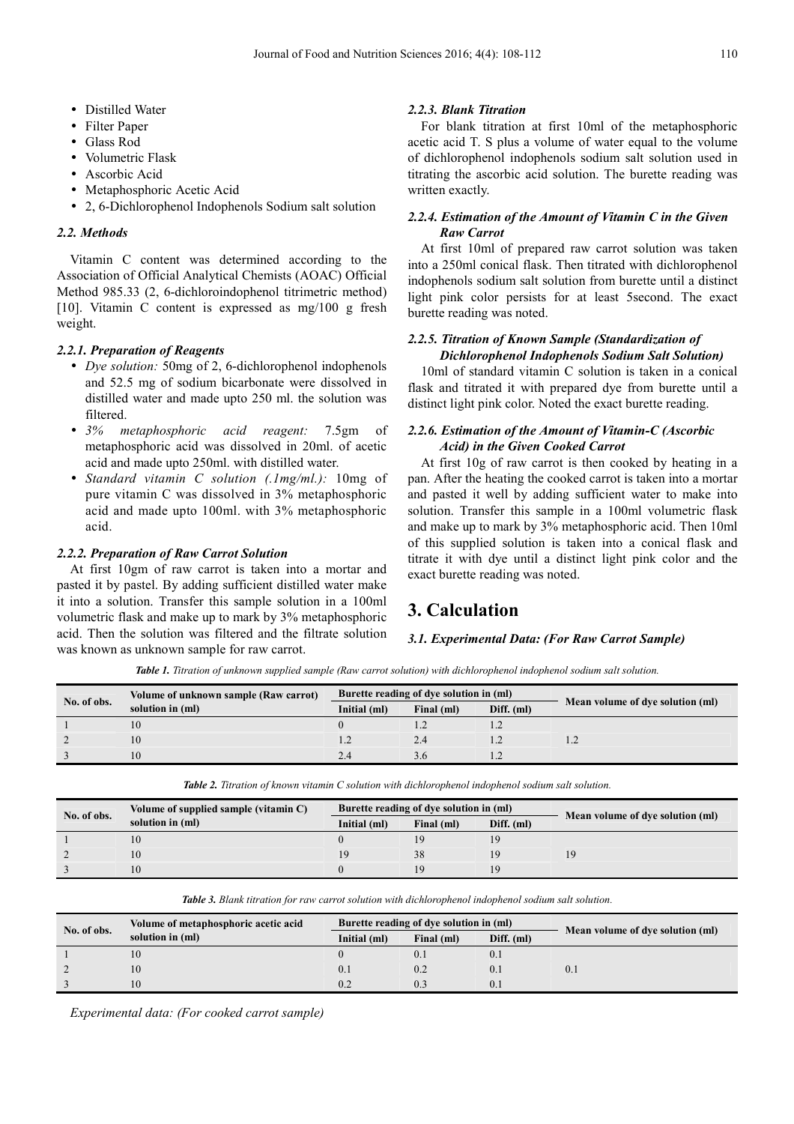- Distilled Water
- Filter Paper
- Glass Rod
- Volumetric Flask
- Ascorbic Acid
- Metaphosphoric Acetic Acid
- 2, 6-Dichlorophenol Indophenols Sodium salt solution

#### *2.2. Methods*

Vitamin C content was determined according to the Association of Official Analytical Chemists (AOAC) Official Method 985.33 (2, 6-dichloroindophenol titrimetric method) [10]. Vitamin C content is expressed as mg/100 g fresh weight.

#### *2.2.1. Preparation of Reagents*

- *Dye solution:* 50mg of 2, 6-dichlorophenol indophenols and 52.5 mg of sodium bicarbonate were dissolved in distilled water and made upto 250 ml. the solution was filtered.
- *3% metaphosphoric acid reagent:* 7.5gm of metaphosphoric acid was dissolved in 20ml. of acetic acid and made upto 250ml. with distilled water.
- *Standard vitamin C solution (.1mg/ml.):* 10mg of pure vitamin C was dissolved in 3% metaphosphoric acid and made upto 100ml. with 3% metaphosphoric acid.

#### *2.2.2. Preparation of Raw Carrot Solution*

At first 10gm of raw carrot is taken into a mortar and pasted it by pastel. By adding sufficient distilled water make it into a solution. Transfer this sample solution in a 100ml volumetric flask and make up to mark by 3% metaphosphoric acid. Then the solution was filtered and the filtrate solution was known as unknown sample for raw carrot.

#### *2.2.3. Blank Titration*

For blank titration at first 10ml of the metaphosphoric acetic acid T. S plus a volume of water equal to the volume of dichlorophenol indophenols sodium salt solution used in titrating the ascorbic acid solution. The burette reading was written exactly.

#### *2.2.4. Estimation of the Amount of Vitamin C in the Given Raw Carrot*

At first 10ml of prepared raw carrot solution was taken into a 250ml conical flask. Then titrated with dichlorophenol indophenols sodium salt solution from burette until a distinct light pink color persists for at least 5second. The exact burette reading was noted.

#### *2.2.5. Titration of Known Sample (Standardization of Dichlorophenol Indophenols Sodium Salt Solution)*

10ml of standard vitamin C solution is taken in a conical flask and titrated it with prepared dye from burette until a distinct light pink color. Noted the exact burette reading.

#### *2.2.6. Estimation of the Amount of Vitamin-C (Ascorbic Acid) in the Given Cooked Carrot*

At first 10g of raw carrot is then cooked by heating in a pan. After the heating the cooked carrot is taken into a mortar and pasted it well by adding sufficient water to make into solution. Transfer this sample in a 100ml volumetric flask and make up to mark by 3% metaphosphoric acid. Then 10ml of this supplied solution is taken into a conical flask and titrate it with dye until a distinct light pink color and the exact burette reading was noted.

# **3. Calculation**

#### *3.1. Experimental Data: (For Raw Carrot Sample)*

*Table 1. Titration of unknown supplied sample (Raw carrot solution) with dichlorophenol indophenol sodium salt solution.* 

| No. of obs. | Volume of unknown sample (Raw carrot) | Burette reading of dye solution in (ml) |            |            |                                  |
|-------------|---------------------------------------|-----------------------------------------|------------|------------|----------------------------------|
|             | solution in (ml)                      | Initial (ml)                            | Final (ml) | Diff. (ml) | Mean volume of dye solution (ml) |
|             | 10                                    |                                         |            |            |                                  |
|             | 10                                    |                                         | 2.4        |            |                                  |
|             | 10                                    |                                         | 3.0        |            |                                  |

*Table 2. Titration of known vitamin C solution with dichlorophenol indophenol sodium salt solution.* 

| No. of obs. | Volume of supplied sample (vitamin C) | Burette reading of dye solution in (ml) |            |            |                                  |
|-------------|---------------------------------------|-----------------------------------------|------------|------------|----------------------------------|
|             | solution in (ml)                      | Initial (ml)                            | Final (ml) | Diff. (ml) | Mean volume of dye solution (ml) |
|             |                                       |                                         |            |            |                                  |
|             | 10                                    |                                         | 38         |            |                                  |
|             | 10                                    |                                         | 19         | 19         |                                  |

*Table 3. Blank titration for raw carrot solution with dichlorophenol indophenol sodium salt solution.* 

| No. of obs. | Volume of metaphosphoric acetic acid | Burette reading of dye solution in (ml) |            |            |                                  |
|-------------|--------------------------------------|-----------------------------------------|------------|------------|----------------------------------|
|             | solution in (ml)                     | Initial (ml)                            | Final (ml) | Diff. (ml) | Mean volume of dye solution (ml) |
|             | 10                                   |                                         |            | V. I       | 0. .                             |
|             | 10                                   |                                         |            |            |                                  |
|             | 10                                   |                                         |            |            |                                  |

*Experimental data: (For cooked carrot sample)*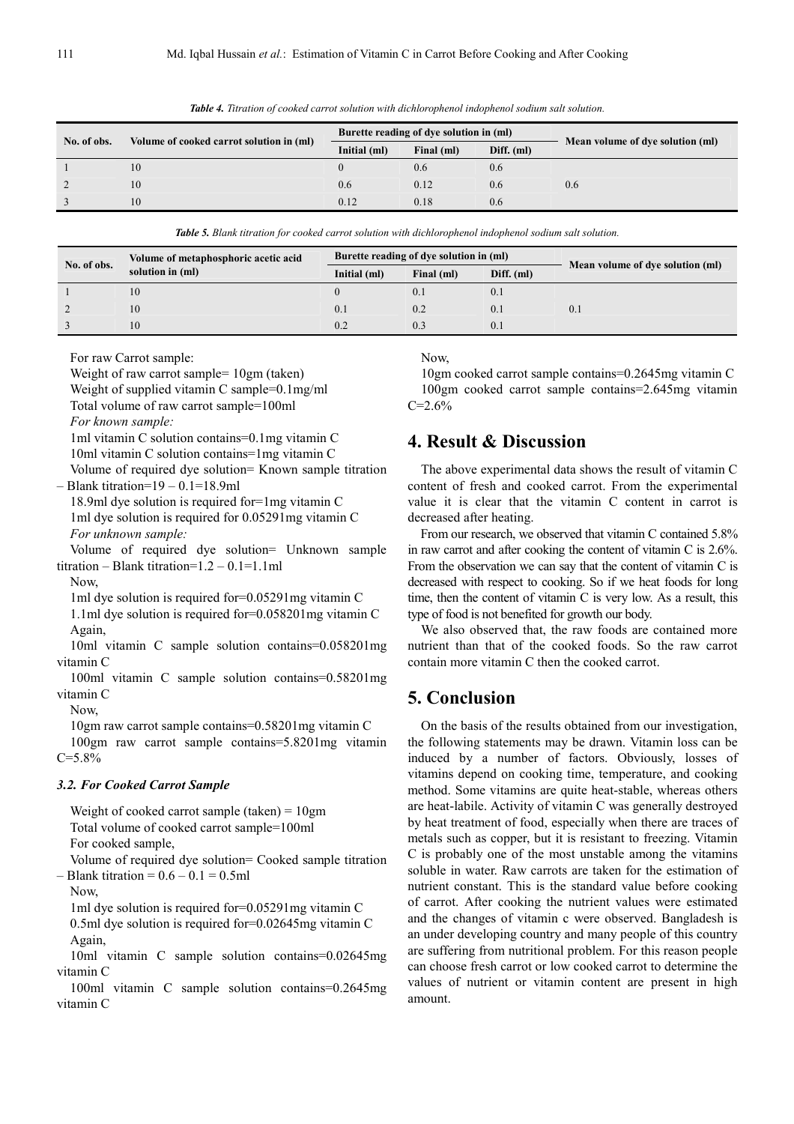| No. of obs. | Volume of cooked carrot solution in (ml) | Burette reading of dye solution in (ml) |            |            |                                  |
|-------------|------------------------------------------|-----------------------------------------|------------|------------|----------------------------------|
|             |                                          | Initial (ml)                            | Final (ml) | Diff. (ml) | Mean volume of dye solution (ml) |
|             | 10                                       |                                         | 0.6        | 0.6        |                                  |
|             | 10                                       | 0.6                                     | 0.12       | 0.6        | 0.6                              |
|             | 10                                       | 0.12                                    | 0.18       | 0.6        |                                  |

*Table 4. Titration of cooked carrot solution with dichlorophenol indophenol sodium salt solution.* 

*Table 5. Blank titration for cooked carrot solution with dichlorophenol indophenol sodium salt solution.* 

| No. of obs. | Volume of metaphosphoric acetic acid<br>solution in (ml) | Burette reading of dye solution in (ml) |            |            |                                  |
|-------------|----------------------------------------------------------|-----------------------------------------|------------|------------|----------------------------------|
|             |                                                          | Initial (ml)                            | Final (ml) | Diff. (ml) | Mean volume of dye solution (ml) |
|             | 10                                                       |                                         |            | V. I       |                                  |
|             | 10                                                       | 0.1                                     | 0.2        | 0.1        |                                  |
|             | 10                                                       | 0.2                                     | 0.3        | 0.1        |                                  |

For raw Carrot sample:

Weight of raw carrot sample=  $10gm$  (taken)

Weight of supplied vitamin C sample=0.1mg/ml

Total volume of raw carrot sample=100ml

*For known sample:* 

1ml vitamin C solution contains=0.1mg vitamin C 10ml vitamin C solution contains=1mg vitamin C

Volume of required dye solution= Known sample titration – Blank titration=19 – 0.1=18.9ml

18.9ml dye solution is required for=1mg vitamin C 1ml dye solution is required for 0.05291mg vitamin C *For unknown sample:* 

Volume of required dye solution= Unknown sample titration – Blank titration= $1.2 - 0.1 = 1.1$ ml

Now,

1ml dye solution is required for=0.05291mg vitamin C

1.1ml dye solution is required for=0.058201mg vitamin C Again,

10ml vitamin C sample solution contains=0.058201mg vitamin C

100ml vitamin C sample solution contains=0.58201mg vitamin C

Now,

10gm raw carrot sample contains=0.58201mg vitamin C 100gm raw carrot sample contains=5.8201mg vitamin C=5.8%

#### *3.2. For Cooked Carrot Sample*

Weight of cooked carrot sample (taken) = 10gm Total volume of cooked carrot sample=100ml For cooked sample,

Volume of required dye solution= Cooked sample titration  $-$  Blank titration =  $0.6 - 0.1 = 0.5$ ml

Now,

1ml dye solution is required for=0.05291mg vitamin C 0.5ml dye solution is required for=0.02645mg vitamin C Again,

10ml vitamin C sample solution contains=0.02645mg vitamin C

100ml vitamin C sample solution contains=0.2645mg vitamin C

Now,

10gm cooked carrot sample contains=0.2645mg vitamin C 100gm cooked carrot sample contains=2.645mg vitamin  $C=2.6%$ 

## **4. Result & Discussion**

The above experimental data shows the result of vitamin C content of fresh and cooked carrot. From the experimental value it is clear that the vitamin C content in carrot is decreased after heating.

From our research, we observed that vitamin C contained 5.8% in raw carrot and after cooking the content of vitamin C is 2.6%. From the observation we can say that the content of vitamin C is decreased with respect to cooking. So if we heat foods for long time, then the content of vitamin C is very low. As a result, this type of food is not benefited for growth our body.

We also observed that, the raw foods are contained more nutrient than that of the cooked foods. So the raw carrot contain more vitamin C then the cooked carrot.

## **5. Conclusion**

On the basis of the results obtained from our investigation, the following statements may be drawn. Vitamin loss can be induced by a number of factors. Obviously, losses of vitamins depend on cooking time, temperature, and cooking method. Some vitamins are quite heat-stable, whereas others are heat-labile. Activity of vitamin C was generally destroyed by heat treatment of food, especially when there are traces of metals such as copper, but it is resistant to freezing. Vitamin C is probably one of the most unstable among the vitamins soluble in water. Raw carrots are taken for the estimation of nutrient constant. This is the standard value before cooking of carrot. After cooking the nutrient values were estimated and the changes of vitamin c were observed. Bangladesh is an under developing country and many people of this country are suffering from nutritional problem. For this reason people can choose fresh carrot or low cooked carrot to determine the values of nutrient or vitamin content are present in high amount.